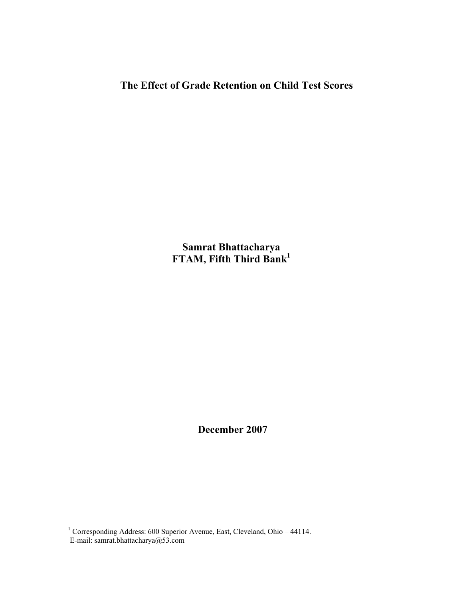**The Effect of Grade Retention on Child Test Scores** 

**Samrat Bhattacharya FTAM, Fifth Third Bank1**

 **December 2007** 

 1 Corresponding Address: 600 Superior Avenue, East, Cleveland, Ohio – 44114. E-mail: samrat.bhattacharya@53.com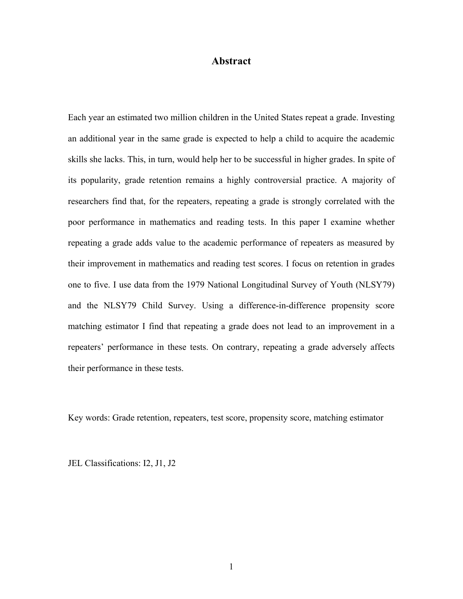### **Abstract**

Each year an estimated two million children in the United States repeat a grade. Investing an additional year in the same grade is expected to help a child to acquire the academic skills she lacks. This, in turn, would help her to be successful in higher grades. In spite of its popularity, grade retention remains a highly controversial practice. A majority of researchers find that, for the repeaters, repeating a grade is strongly correlated with the poor performance in mathematics and reading tests. In this paper I examine whether repeating a grade adds value to the academic performance of repeaters as measured by their improvement in mathematics and reading test scores. I focus on retention in grades one to five. I use data from the 1979 National Longitudinal Survey of Youth (NLSY79) and the NLSY79 Child Survey. Using a difference-in-difference propensity score matching estimator I find that repeating a grade does not lead to an improvement in a repeaters' performance in these tests. On contrary, repeating a grade adversely affects their performance in these tests.

Key words: Grade retention, repeaters, test score, propensity score, matching estimator

JEL Classifications: I2, J1, J2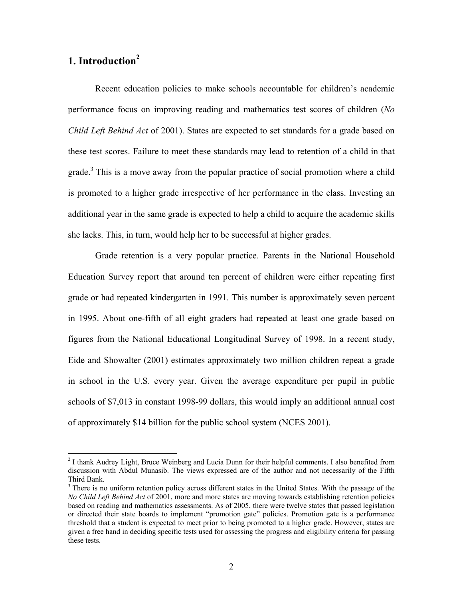# **1. Introduction<sup>2</sup>**

 $\overline{a}$ 

Recent education policies to make schools accountable for children's academic performance focus on improving reading and mathematics test scores of children (*No Child Left Behind Act* of 2001). States are expected to set standards for a grade based on these test scores. Failure to meet these standards may lead to retention of a child in that grade.<sup>3</sup> This is a move away from the popular practice of social promotion where a child is promoted to a higher grade irrespective of her performance in the class. Investing an additional year in the same grade is expected to help a child to acquire the academic skills she lacks. This, in turn, would help her to be successful at higher grades.

Grade retention is a very popular practice. Parents in the National Household Education Survey report that around ten percent of children were either repeating first grade or had repeated kindergarten in 1991. This number is approximately seven percent in 1995. About one-fifth of all eight graders had repeated at least one grade based on figures from the National Educational Longitudinal Survey of 1998. In a recent study, Eide and Showalter (2001) estimates approximately two million children repeat a grade in school in the U.S. every year. Given the average expenditure per pupil in public schools of \$7,013 in constant 1998-99 dollars, this would imply an additional annual cost of approximately \$14 billion for the public school system (NCES 2001).

 $2$  I thank Audrey Light, Bruce Weinberg and Lucia Dunn for their helpful comments. I also benefited from discussion with Abdul Munasib. The views expressed are of the author and not necessarily of the Fifth Third Bank.

<sup>&</sup>lt;sup>3</sup> There is no uniform retention policy across different states in the United States. With the passage of the *No Child Left Behind Act* of 2001, more and more states are moving towards establishing retention policies based on reading and mathematics assessments. As of 2005, there were twelve states that passed legislation or directed their state boards to implement "promotion gate" policies. Promotion gate is a performance threshold that a student is expected to meet prior to being promoted to a higher grade. However, states are given a free hand in deciding specific tests used for assessing the progress and eligibility criteria for passing these tests.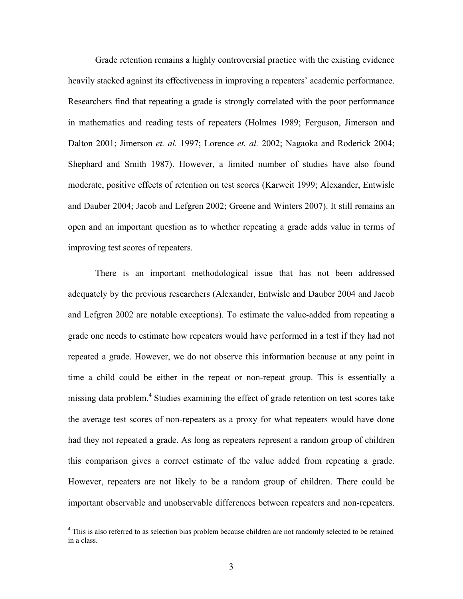Grade retention remains a highly controversial practice with the existing evidence heavily stacked against its effectiveness in improving a repeaters' academic performance. Researchers find that repeating a grade is strongly correlated with the poor performance in mathematics and reading tests of repeaters (Holmes 1989; Ferguson, Jimerson and Dalton 2001; Jimerson *et. al.* 1997; Lorence *et. al.* 2002; Nagaoka and Roderick 2004; Shephard and Smith 1987). However, a limited number of studies have also found moderate, positive effects of retention on test scores (Karweit 1999; Alexander, Entwisle and Dauber 2004; Jacob and Lefgren 2002; Greene and Winters 2007). It still remains an open and an important question as to whether repeating a grade adds value in terms of improving test scores of repeaters.

There is an important methodological issue that has not been addressed adequately by the previous researchers (Alexander, Entwisle and Dauber 2004 and Jacob and Lefgren 2002 are notable exceptions). To estimate the value-added from repeating a grade one needs to estimate how repeaters would have performed in a test if they had not repeated a grade. However, we do not observe this information because at any point in time a child could be either in the repeat or non-repeat group. This is essentially a missing data problem.<sup>4</sup> Studies examining the effect of grade retention on test scores take the average test scores of non-repeaters as a proxy for what repeaters would have done had they not repeated a grade. As long as repeaters represent a random group of children this comparison gives a correct estimate of the value added from repeating a grade. However, repeaters are not likely to be a random group of children. There could be important observable and unobservable differences between repeaters and non-repeaters.

 $\overline{a}$ 

<sup>&</sup>lt;sup>4</sup> This is also referred to as selection bias problem because children are not randomly selected to be retained in a class.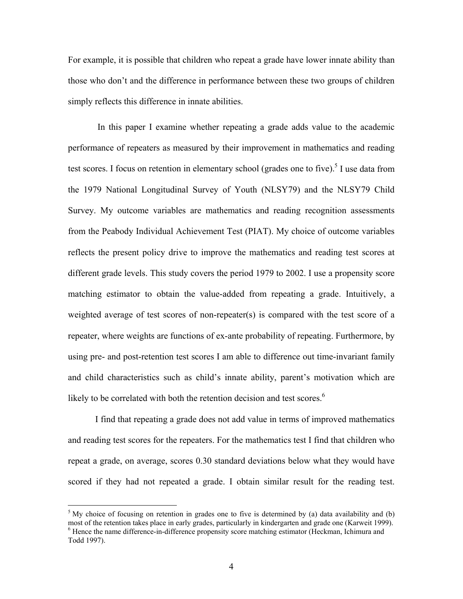For example, it is possible that children who repeat a grade have lower innate ability than those who don't and the difference in performance between these two groups of children simply reflects this difference in innate abilities.

 In this paper I examine whether repeating a grade adds value to the academic performance of repeaters as measured by their improvement in mathematics and reading test scores. I focus on retention in elementary school (grades one to five).<sup>5</sup> I use data from the 1979 National Longitudinal Survey of Youth (NLSY79) and the NLSY79 Child Survey. My outcome variables are mathematics and reading recognition assessments from the Peabody Individual Achievement Test (PIAT). My choice of outcome variables reflects the present policy drive to improve the mathematics and reading test scores at different grade levels. This study covers the period 1979 to 2002. I use a propensity score matching estimator to obtain the value-added from repeating a grade. Intuitively, a weighted average of test scores of non-repeater(s) is compared with the test score of a repeater, where weights are functions of ex-ante probability of repeating. Furthermore, by using pre- and post-retention test scores I am able to difference out time-invariant family and child characteristics such as child's innate ability, parent's motivation which are likely to be correlated with both the retention decision and test scores.<sup>6</sup>

I find that repeating a grade does not add value in terms of improved mathematics and reading test scores for the repeaters. For the mathematics test I find that children who repeat a grade, on average, scores 0.30 standard deviations below what they would have scored if they had not repeated a grade. I obtain similar result for the reading test.

 $\overline{a}$ 

 $5$  My choice of focusing on retention in grades one to five is determined by (a) data availability and (b) most of the retention takes place in early grades, particularly in kindergarten and grade one (Karweit 1999). <sup>6</sup> Hence the name difference-in-difference propensity score matching estimator (Heckman, Ichimura and Todd 1997).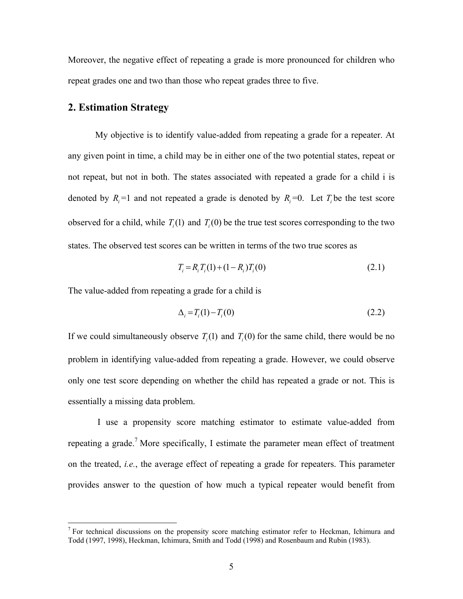Moreover, the negative effect of repeating a grade is more pronounced for children who repeat grades one and two than those who repeat grades three to five.

### **2. Estimation Strategy**

1

My objective is to identify value-added from repeating a grade for a repeater. At any given point in time, a child may be in either one of the two potential states, repeat or not repeat, but not in both. The states associated with repeated a grade for a child i is denoted by  $R_i = 1$  and not repeated a grade is denoted by  $R_i = 0$ . Let  $T_i$  be the test score observed for a child, while  $T_i(1)$  and  $T_i(0)$  be the true test scores corresponding to the two states. The observed test scores can be written in terms of the two true scores as

$$
T_i = R_i T_i(1) + (1 - R_i) T_i(0)
$$
\n(2.1)

The value-added from repeating a grade for a child is

$$
\Delta_i = T_i(1) - T_i(0) \tag{2.2}
$$

If we could simultaneously observe  $T<sub>i</sub>(1)$  and  $T<sub>i</sub>(0)$  for the same child, there would be no problem in identifying value-added from repeating a grade. However, we could observe only one test score depending on whether the child has repeated a grade or not. This is essentially a missing data problem.

 I use a propensity score matching estimator to estimate value-added from repeating a grade.<sup>7</sup> More specifically, I estimate the parameter mean effect of treatment on the treated, *i.e.*, the average effect of repeating a grade for repeaters. This parameter provides answer to the question of how much a typical repeater would benefit from

 $<sup>7</sup>$  For technical discussions on the propensity score matching estimator refer to Heckman, Ichimura and</sup> Todd (1997, 1998), Heckman, Ichimura, Smith and Todd (1998) and Rosenbaum and Rubin (1983).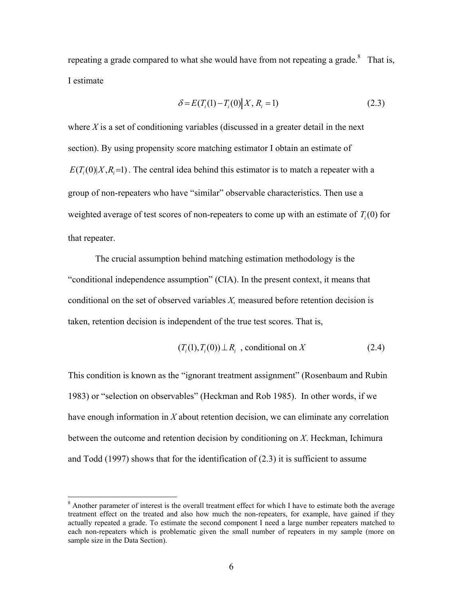repeating a grade compared to what she would have from not repeating a grade. $8$  That is, I estimate

$$
\delta = E(T_i(1) - T_i(0) | X, R_i = 1)
$$
\n(2.3)

where  $X$  is a set of conditioning variables (discussed in a greater detail in the next section). By using propensity score matching estimator I obtain an estimate of  $E(T<sub>i</sub>(0)|X,R=1)$ . The central idea behind this estimator is to match a repeater with a group of non-repeaters who have "similar" observable characteristics. Then use a weighted average of test scores of non-repeaters to come up with an estimate of  $T_i(0)$  for that repeater.

 The crucial assumption behind matching estimation methodology is the "conditional independence assumption" (CIA). In the present context, it means that conditional on the set of observed variables *X,* measured before retention decision is taken, retention decision is independent of the true test scores. That is,

$$
(Ti(1), Ti(0)) \perp Ri , conditional on X \t(2.4)
$$

This condition is known as the "ignorant treatment assignment" (Rosenbaum and Rubin 1983) or "selection on observables" (Heckman and Rob 1985). In other words, if we have enough information in *X* about retention decision, we can eliminate any correlation between the outcome and retention decision by conditioning on *X*. Heckman, Ichimura and Todd (1997) shows that for the identification of (2.3) it is sufficient to assume

1

<sup>&</sup>lt;sup>8</sup> Another parameter of interest is the overall treatment effect for which I have to estimate both the average treatment effect on the treated and also how much the non-repeaters, for example, have gained if they actually repeated a grade. To estimate the second component I need a large number repeaters matched to each non-repeaters which is problematic given the small number of repeaters in my sample (more on sample size in the Data Section).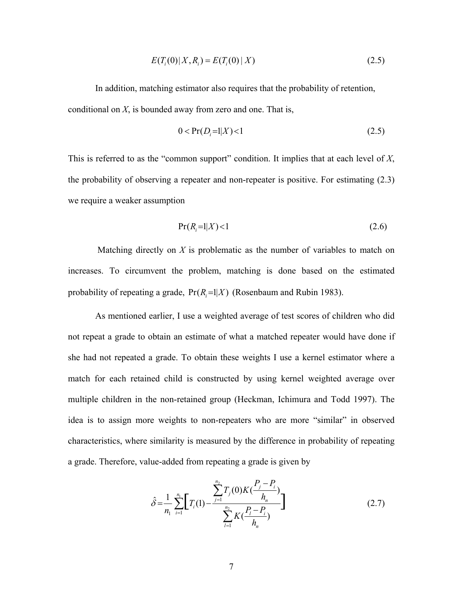$$
E(T_i(0)|X, R_i) = E(T_i(0)|X)
$$
\n(2.5)

In addition, matching estimator also requires that the probability of retention, conditional on *X*, is bounded away from zero and one. That is,

$$
0 < \Pr(D_i = 1 | X) < 1 \tag{2.5}
$$

This is referred to as the "common support" condition. It implies that at each level of *X*, the probability of observing a repeater and non-repeater is positive. For estimating (2.3) we require a weaker assumption

$$
Pr(R_i=1|X)<1\tag{2.6}
$$

 Matching directly on *X* is problematic as the number of variables to match on increases. To circumvent the problem, matching is done based on the estimated probability of repeating a grade,  $Pr(R_i=1|X)$  (Rosenbaum and Rubin 1983).

As mentioned earlier, I use a weighted average of test scores of children who did not repeat a grade to obtain an estimate of what a matched repeater would have done if she had not repeated a grade. To obtain these weights I use a kernel estimator where a match for each retained child is constructed by using kernel weighted average over multiple children in the non-retained group (Heckman, Ichimura and Todd 1997). The idea is to assign more weights to non-repeaters who are more "similar" in observed characteristics, where similarity is measured by the difference in probability of repeating a grade. Therefore, value-added from repeating a grade is given by

$$
\hat{\delta} = \frac{1}{n_1} \sum_{i=1}^{n_1} \left[ T_i(1) - \frac{\sum_{j=1}^{n_2} T_j(0) K(\frac{P_j - P_i}{h_n})}{\sum_{l=1}^{n_2} K(\frac{P_l - P_i}{h_n})} \right]
$$
(2.7)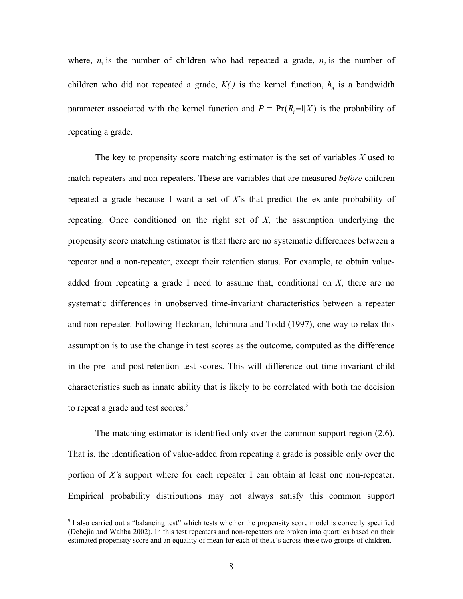where,  $n_1$  is the number of children who had repeated a grade,  $n_2$  is the number of children who did not repeated a grade,  $K(.)$  is the kernel function,  $h_n$  is a bandwidth parameter associated with the kernel function and  $P = Pr(R = 1|X)$  is the probability of repeating a grade.

 The key to propensity score matching estimator is the set of variables *X* used to match repeaters and non-repeaters. These are variables that are measured *before* children repeated a grade because I want a set of  $X$ 's that predict the ex-ante probability of repeating. Once conditioned on the right set of *X*, the assumption underlying the propensity score matching estimator is that there are no systematic differences between a repeater and a non-repeater, except their retention status. For example, to obtain valueadded from repeating a grade I need to assume that, conditional on *X*, there are no systematic differences in unobserved time-invariant characteristics between a repeater and non-repeater. Following Heckman, Ichimura and Todd (1997), one way to relax this assumption is to use the change in test scores as the outcome, computed as the difference in the pre- and post-retention test scores. This will difference out time-invariant child characteristics such as innate ability that is likely to be correlated with both the decision to repeat a grade and test scores.<sup>9</sup>

 The matching estimator is identified only over the common support region (2.6). That is, the identification of value-added from repeating a grade is possible only over the portion of *X'*s support where for each repeater I can obtain at least one non-repeater. Empirical probability distributions may not always satisfy this common support

 $\overline{a}$ 

<sup>&</sup>lt;sup>9</sup> I also carried out a "balancing test" which tests whether the propensity score model is correctly specified (Dehejia and Wahba 2002). In this test repeaters and non-repeaters are broken into quartiles based on their estimated propensity score and an equality of mean for each of the *X*'s across these two groups of children.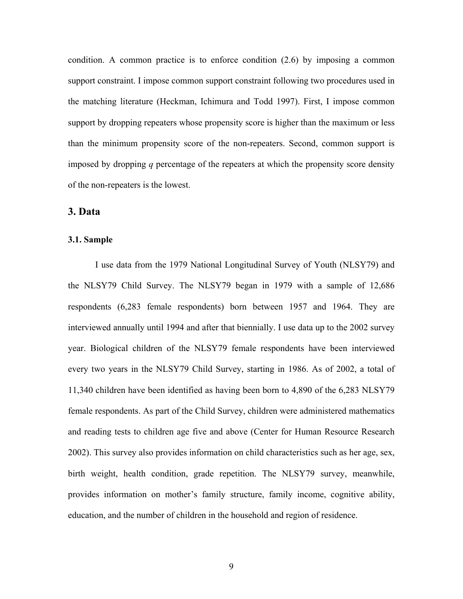condition. A common practice is to enforce condition (2.6) by imposing a common support constraint. I impose common support constraint following two procedures used in the matching literature (Heckman, Ichimura and Todd 1997). First, I impose common support by dropping repeaters whose propensity score is higher than the maximum or less than the minimum propensity score of the non-repeaters. Second, common support is imposed by dropping *q* percentage of the repeaters at which the propensity score density of the non-repeaters is the lowest.

### **3. Data**

#### **3.1. Sample**

I use data from the 1979 National Longitudinal Survey of Youth (NLSY79) and the NLSY79 Child Survey. The NLSY79 began in 1979 with a sample of 12,686 respondents (6,283 female respondents) born between 1957 and 1964. They are interviewed annually until 1994 and after that biennially. I use data up to the 2002 survey year. Biological children of the NLSY79 female respondents have been interviewed every two years in the NLSY79 Child Survey, starting in 1986. As of 2002, a total of 11,340 children have been identified as having been born to 4,890 of the 6,283 NLSY79 female respondents. As part of the Child Survey, children were administered mathematics and reading tests to children age five and above (Center for Human Resource Research 2002). This survey also provides information on child characteristics such as her age, sex, birth weight, health condition, grade repetition. The NLSY79 survey, meanwhile, provides information on mother's family structure, family income, cognitive ability, education, and the number of children in the household and region of residence.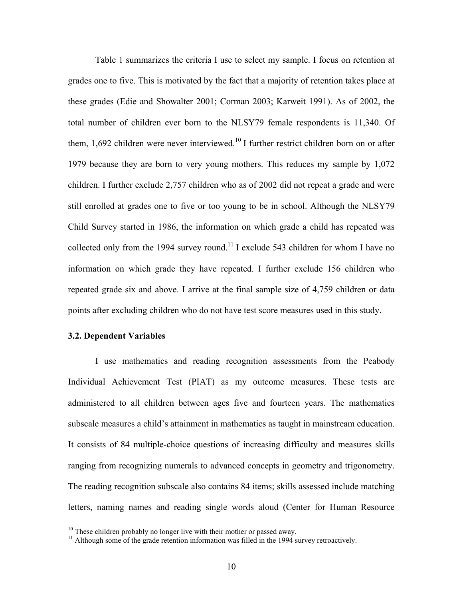Table 1 summarizes the criteria I use to select my sample. I focus on retention at grades one to five. This is motivated by the fact that a majority of retention takes place at these grades (Edie and Showalter 2001; Corman 2003; Karweit 1991). As of 2002, the total number of children ever born to the NLSY79 female respondents is 11,340. Of them,  $1,692$  children were never interviewed.<sup>10</sup> I further restrict children born on or after 1979 because they are born to very young mothers. This reduces my sample by 1,072 children. I further exclude 2,757 children who as of 2002 did not repeat a grade and were still enrolled at grades one to five or too young to be in school. Although the NLSY79 Child Survey started in 1986, the information on which grade a child has repeated was collected only from the 1994 survey round.<sup>11</sup> I exclude 543 children for whom I have no information on which grade they have repeated. I further exclude 156 children who repeated grade six and above. I arrive at the final sample size of 4,759 children or data points after excluding children who do not have test score measures used in this study.

#### **3.2. Dependent Variables**

1

I use mathematics and reading recognition assessments from the Peabody Individual Achievement Test (PIAT) as my outcome measures. These tests are administered to all children between ages five and fourteen years. The mathematics subscale measures a child's attainment in mathematics as taught in mainstream education. It consists of 84 multiple-choice questions of increasing difficulty and measures skills ranging from recognizing numerals to advanced concepts in geometry and trigonometry. The reading recognition subscale also contains 84 items; skills assessed include matching letters, naming names and reading single words aloud (Center for Human Resource

<sup>&</sup>lt;sup>10</sup> These children probably no longer live with their mother or passed away.

<sup>&</sup>lt;sup>11</sup> Although some of the grade retention information was filled in the 1994 survey retroactively.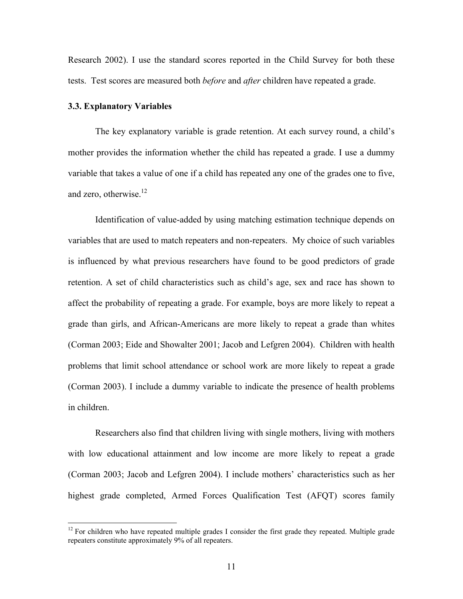Research 2002). I use the standard scores reported in the Child Survey for both these tests. Test scores are measured both *before* and *after* children have repeated a grade.

#### **3.3. Explanatory Variables**

 $\overline{a}$ 

The key explanatory variable is grade retention. At each survey round, a child's mother provides the information whether the child has repeated a grade. I use a dummy variable that takes a value of one if a child has repeated any one of the grades one to five, and zero, otherwise. $^{12}$ 

Identification of value-added by using matching estimation technique depends on variables that are used to match repeaters and non-repeaters. My choice of such variables is influenced by what previous researchers have found to be good predictors of grade retention. A set of child characteristics such as child's age, sex and race has shown to affect the probability of repeating a grade. For example, boys are more likely to repeat a grade than girls, and African-Americans are more likely to repeat a grade than whites (Corman 2003; Eide and Showalter 2001; Jacob and Lefgren 2004). Children with health problems that limit school attendance or school work are more likely to repeat a grade (Corman 2003). I include a dummy variable to indicate the presence of health problems in children.

Researchers also find that children living with single mothers, living with mothers with low educational attainment and low income are more likely to repeat a grade (Corman 2003; Jacob and Lefgren 2004). I include mothers' characteristics such as her highest grade completed, Armed Forces Qualification Test (AFQT) scores family

 $12$  For children who have repeated multiple grades I consider the first grade they repeated. Multiple grade repeaters constitute approximately 9% of all repeaters.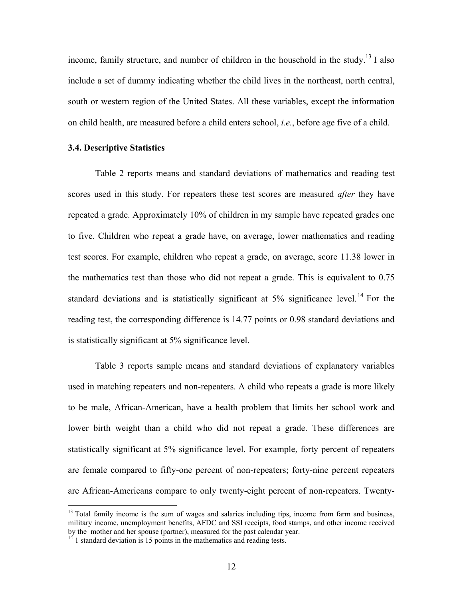income, family structure, and number of children in the household in the study.<sup>13</sup> I also include a set of dummy indicating whether the child lives in the northeast, north central, south or western region of the United States. All these variables, except the information on child health, are measured before a child enters school, *i.e.*, before age five of a child.

#### **3.4. Descriptive Statistics**

 Table 2 reports means and standard deviations of mathematics and reading test scores used in this study. For repeaters these test scores are measured *after* they have repeated a grade. Approximately 10% of children in my sample have repeated grades one to five. Children who repeat a grade have, on average, lower mathematics and reading test scores. For example, children who repeat a grade, on average, score 11.38 lower in the mathematics test than those who did not repeat a grade. This is equivalent to 0.75 standard deviations and is statistically significant at  $5\%$  significance level.<sup>14</sup> For the reading test, the corresponding difference is 14.77 points or 0.98 standard deviations and is statistically significant at 5% significance level.

 Table 3 reports sample means and standard deviations of explanatory variables used in matching repeaters and non-repeaters. A child who repeats a grade is more likely to be male, African-American, have a health problem that limits her school work and lower birth weight than a child who did not repeat a grade. These differences are statistically significant at 5% significance level. For example, forty percent of repeaters are female compared to fifty-one percent of non-repeaters; forty-nine percent repeaters are African-Americans compare to only twenty-eight percent of non-repeaters. Twenty-

<u>.</u>

 $13$  Total family income is the sum of wages and salaries including tips, income from farm and business, military income, unemployment benefits, AFDC and SSI receipts, food stamps, and other income received by the mother and her spouse (partner), measured for the past calendar year. <sup>14</sup> 1 standard deviation is 15 points in the mathematics and reading tests.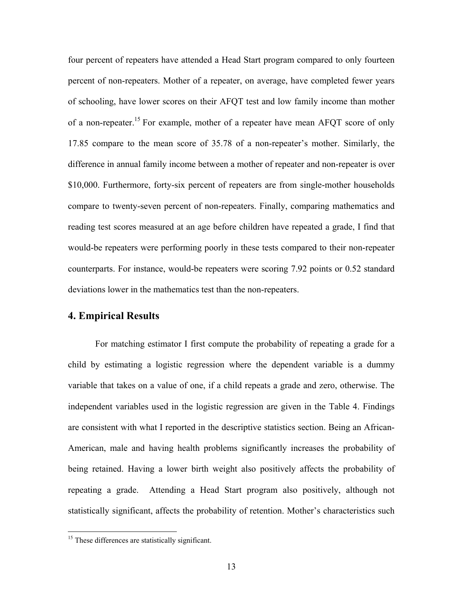four percent of repeaters have attended a Head Start program compared to only fourteen percent of non-repeaters. Mother of a repeater, on average, have completed fewer years of schooling, have lower scores on their AFQT test and low family income than mother of a non-repeater.<sup>15</sup> For example, mother of a repeater have mean AFQT score of only 17.85 compare to the mean score of 35.78 of a non-repeater's mother. Similarly, the difference in annual family income between a mother of repeater and non-repeater is over \$10,000. Furthermore, forty-six percent of repeaters are from single-mother households compare to twenty-seven percent of non-repeaters. Finally, comparing mathematics and reading test scores measured at an age before children have repeated a grade, I find that would-be repeaters were performing poorly in these tests compared to their non-repeater counterparts. For instance, would-be repeaters were scoring 7.92 points or 0.52 standard deviations lower in the mathematics test than the non-repeaters.

### **4. Empirical Results**

For matching estimator I first compute the probability of repeating a grade for a child by estimating a logistic regression where the dependent variable is a dummy variable that takes on a value of one, if a child repeats a grade and zero, otherwise. The independent variables used in the logistic regression are given in the Table 4. Findings are consistent with what I reported in the descriptive statistics section. Being an African-American, male and having health problems significantly increases the probability of being retained. Having a lower birth weight also positively affects the probability of repeating a grade. Attending a Head Start program also positively, although not statistically significant, affects the probability of retention. Mother's characteristics such

<u>.</u>

<sup>&</sup>lt;sup>15</sup> These differences are statistically significant.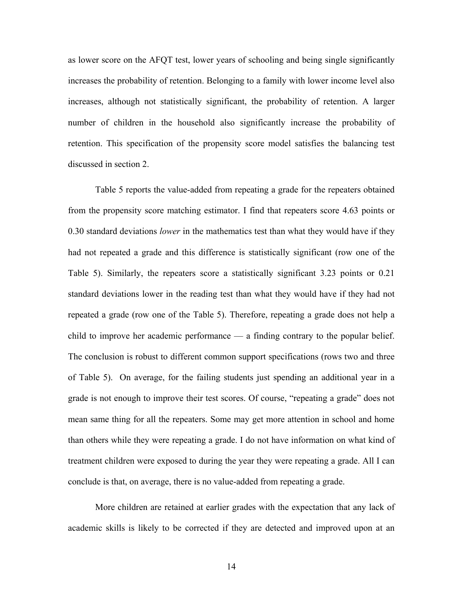as lower score on the AFQT test, lower years of schooling and being single significantly increases the probability of retention. Belonging to a family with lower income level also increases, although not statistically significant, the probability of retention. A larger number of children in the household also significantly increase the probability of retention. This specification of the propensity score model satisfies the balancing test discussed in section 2.

Table 5 reports the value-added from repeating a grade for the repeaters obtained from the propensity score matching estimator. I find that repeaters score 4.63 points or 0.30 standard deviations *lower* in the mathematics test than what they would have if they had not repeated a grade and this difference is statistically significant (row one of the Table 5). Similarly, the repeaters score a statistically significant 3.23 points or 0.21 standard deviations lower in the reading test than what they would have if they had not repeated a grade (row one of the Table 5). Therefore, repeating a grade does not help a child to improve her academic performance — a finding contrary to the popular belief. The conclusion is robust to different common support specifications (rows two and three of Table 5). On average, for the failing students just spending an additional year in a grade is not enough to improve their test scores. Of course, "repeating a grade" does not mean same thing for all the repeaters. Some may get more attention in school and home than others while they were repeating a grade. I do not have information on what kind of treatment children were exposed to during the year they were repeating a grade. All I can conclude is that, on average, there is no value-added from repeating a grade.

More children are retained at earlier grades with the expectation that any lack of academic skills is likely to be corrected if they are detected and improved upon at an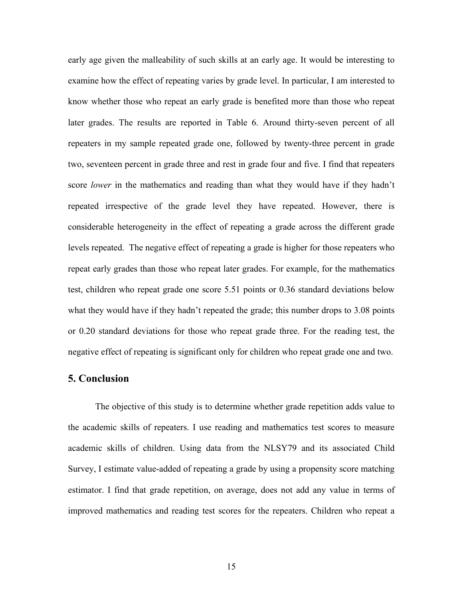early age given the malleability of such skills at an early age. It would be interesting to examine how the effect of repeating varies by grade level. In particular, I am interested to know whether those who repeat an early grade is benefited more than those who repeat later grades. The results are reported in Table 6. Around thirty-seven percent of all repeaters in my sample repeated grade one, followed by twenty-three percent in grade two, seventeen percent in grade three and rest in grade four and five. I find that repeaters score *lower* in the mathematics and reading than what they would have if they hadn't repeated irrespective of the grade level they have repeated. However, there is considerable heterogeneity in the effect of repeating a grade across the different grade levels repeated. The negative effect of repeating a grade is higher for those repeaters who repeat early grades than those who repeat later grades. For example, for the mathematics test, children who repeat grade one score 5.51 points or 0.36 standard deviations below what they would have if they hadn't repeated the grade; this number drops to 3.08 points or 0.20 standard deviations for those who repeat grade three. For the reading test, the negative effect of repeating is significant only for children who repeat grade one and two.

### **5. Conclusion**

The objective of this study is to determine whether grade repetition adds value to the academic skills of repeaters. I use reading and mathematics test scores to measure academic skills of children. Using data from the NLSY79 and its associated Child Survey, I estimate value-added of repeating a grade by using a propensity score matching estimator. I find that grade repetition, on average, does not add any value in terms of improved mathematics and reading test scores for the repeaters. Children who repeat a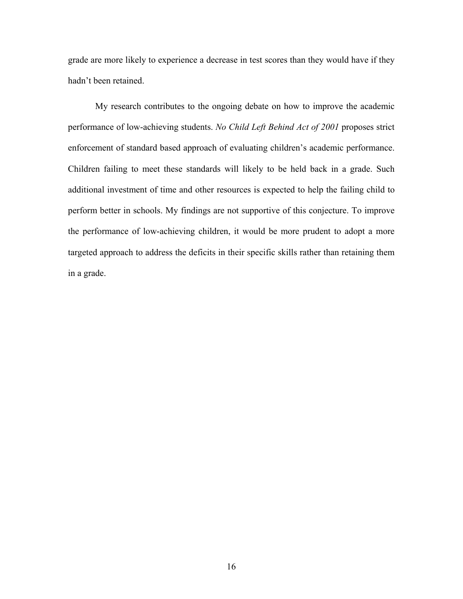grade are more likely to experience a decrease in test scores than they would have if they hadn't been retained.

 My research contributes to the ongoing debate on how to improve the academic performance of low-achieving students. *No Child Left Behind Act of 2001* proposes strict enforcement of standard based approach of evaluating children's academic performance. Children failing to meet these standards will likely to be held back in a grade. Such additional investment of time and other resources is expected to help the failing child to perform better in schools. My findings are not supportive of this conjecture. To improve the performance of low-achieving children, it would be more prudent to adopt a more targeted approach to address the deficits in their specific skills rather than retaining them in a grade.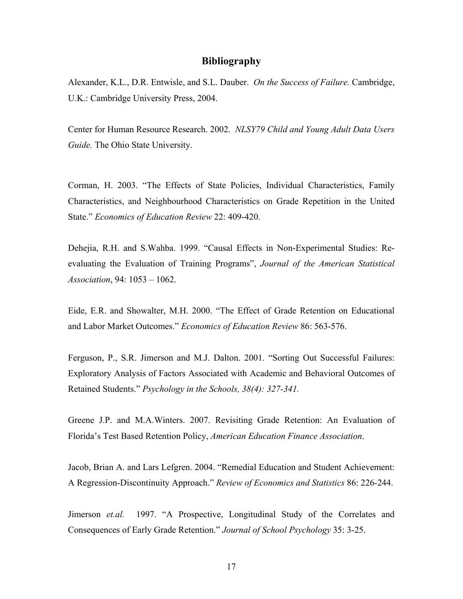#### **Bibliography**

Alexander, K.L., D.R. Entwisle, and S.L. Dauber. *On the Success of Failure.* Cambridge, U.K.: Cambridge University Press, 2004.

Center for Human Resource Research. 2002. *NLSY79 Child and Young Adult Data Users Guide.* The Ohio State University.

Corman, H. 2003. "The Effects of State Policies, Individual Characteristics, Family Characteristics, and Neighbourhood Characteristics on Grade Repetition in the United State." *Economics of Education Review* 22: 409-420.

Dehejia, R.H. and S.Wahba. 1999. "Causal Effects in Non-Experimental Studies: Reevaluating the Evaluation of Training Programs", *Journal of the American Statistical Association*, 94: 1053 – 1062.

Eide, E.R. and Showalter, M.H. 2000. "The Effect of Grade Retention on Educational and Labor Market Outcomes." *Economics of Education Review* 86: 563-576.

Ferguson, P., S.R. Jimerson and M.J. Dalton. 2001. "Sorting Out Successful Failures: Exploratory Analysis of Factors Associated with Academic and Behavioral Outcomes of Retained Students." *Psychology in the Schools, 38(4): 327-341.* 

Greene J.P. and M.A.Winters. 2007. Revisiting Grade Retention: An Evaluation of Florida's Test Based Retention Policy, *American Education Finance Association*.

Jacob, Brian A. and Lars Lefgren. 2004. "Remedial Education and Student Achievement: A Regression-Discontinuity Approach." *Review of Economics and Statistics* 86: 226-244.

Jimerson *et.al.* 1997. "A Prospective, Longitudinal Study of the Correlates and Consequences of Early Grade Retention." *Journal of School Psychology* 35: 3-25.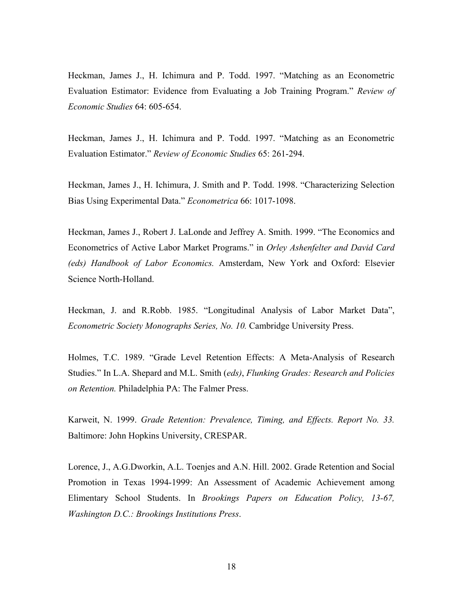Heckman, James J., H. Ichimura and P. Todd. 1997. "Matching as an Econometric Evaluation Estimator: Evidence from Evaluating a Job Training Program." *Review of Economic Studies* 64: 605-654.

Heckman, James J., H. Ichimura and P. Todd. 1997. "Matching as an Econometric Evaluation Estimator." *Review of Economic Studies* 65: 261-294.

Heckman, James J., H. Ichimura, J. Smith and P. Todd. 1998. "Characterizing Selection Bias Using Experimental Data." *Econometrica* 66: 1017-1098.

Heckman, James J., Robert J. LaLonde and Jeffrey A. Smith. 1999. "The Economics and Econometrics of Active Labor Market Programs." in *Orley Ashenfelter and David Card (eds) Handbook of Labor Economics.* Amsterdam, New York and Oxford: Elsevier Science North-Holland.

Heckman, J. and R.Robb. 1985. "Longitudinal Analysis of Labor Market Data", *Econometric Society Monographs Series, No. 10.* Cambridge University Press.

Holmes, T.C. 1989. "Grade Level Retention Effects: A Meta-Analysis of Research Studies." In L.A. Shepard and M.L. Smith (*eds)*, *Flunking Grades: Research and Policies on Retention.* Philadelphia PA: The Falmer Press.

Karweit, N. 1999. *Grade Retention: Prevalence, Timing, and Effects. Report No. 33.* Baltimore: John Hopkins University, CRESPAR.

Lorence, J., A.G.Dworkin, A.L. Toenjes and A.N. Hill. 2002. Grade Retention and Social Promotion in Texas 1994-1999: An Assessment of Academic Achievement among Elimentary School Students. In *Brookings Papers on Education Policy, 13-67, Washington D.C.: Brookings Institutions Press*.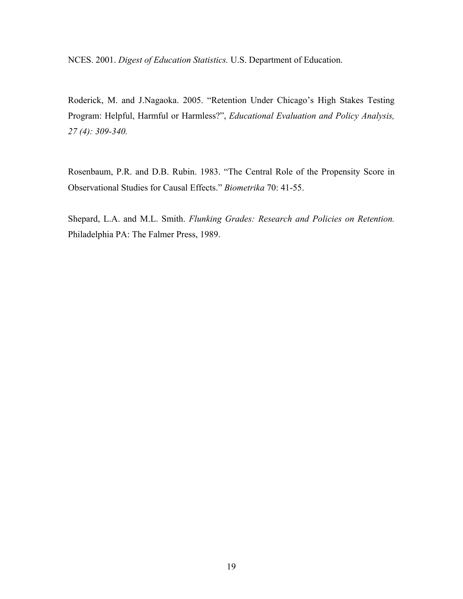NCES. 2001. *Digest of Education Statistics.* U.S. Department of Education.

Roderick, M. and J.Nagaoka. 2005. "Retention Under Chicago's High Stakes Testing Program: Helpful, Harmful or Harmless?", *Educational Evaluation and Policy Analysis, 27 (4): 309-340.* 

Rosenbaum, P.R. and D.B. Rubin. 1983. "The Central Role of the Propensity Score in Observational Studies for Causal Effects." *Biometrika* 70: 41-55.

Shepard, L.A. and M.L. Smith. *Flunking Grades: Research and Policies on Retention.* Philadelphia PA: The Falmer Press, 1989.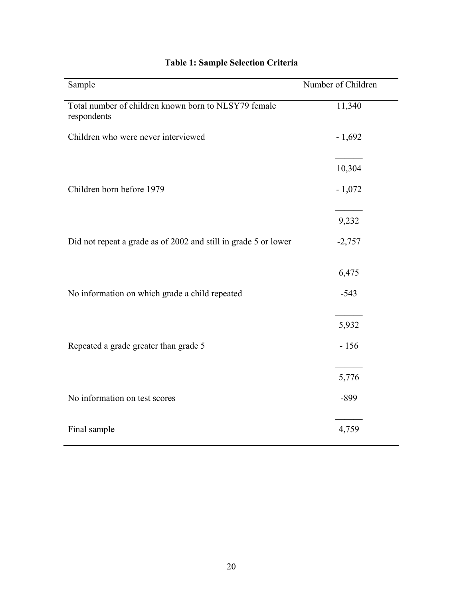| Sample                                                              | Number of Children |
|---------------------------------------------------------------------|--------------------|
| Total number of children known born to NLSY79 female<br>respondents | 11,340             |
| Children who were never interviewed                                 | $-1,692$           |
|                                                                     | 10,304             |
| Children born before 1979                                           | $-1,072$           |
|                                                                     | 9,232              |
| Did not repeat a grade as of 2002 and still in grade 5 or lower     | $-2,757$           |
|                                                                     | 6,475              |
| No information on which grade a child repeated                      | $-543$             |
|                                                                     | 5,932              |
| Repeated a grade greater than grade 5                               | $-156$             |
|                                                                     | 5,776              |
| No information on test scores                                       | $-899$             |
| Final sample                                                        | 4,759              |

# **Table 1: Sample Selection Criteria**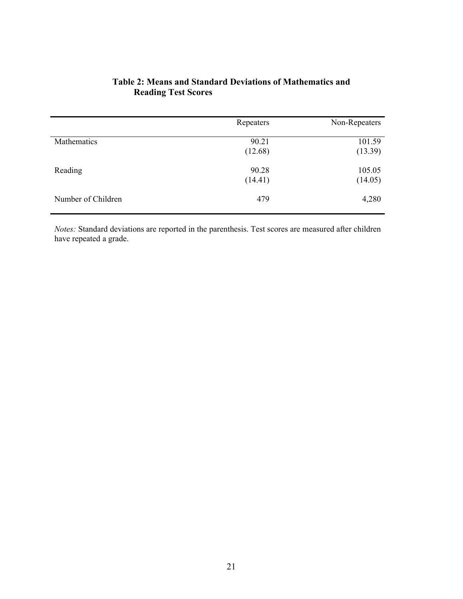|             | Repeaters        | Non-Repeaters     |
|-------------|------------------|-------------------|
| Mathematics | 90.21<br>(12.68) | 101.59<br>(13.39) |
| Reading     | 90.28<br>(14.41) | 105.05<br>(14.05) |

# **Table 2: Means and Standard Deviations of Mathematics and Reading Test Scores**

*Notes:* Standard deviations are reported in the parenthesis. Test scores are measured after children have repeated a grade.

Number of Children 479 4,280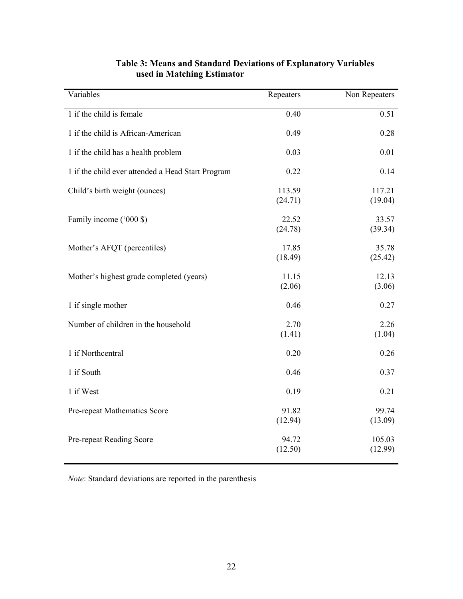| Variables                                         | Repeaters         | Non Repeaters     |
|---------------------------------------------------|-------------------|-------------------|
| 1 if the child is female                          | 0.40              | 0.51              |
| 1 if the child is African-American                | 0.49              | 0.28              |
| 1 if the child has a health problem               | 0.03              | 0.01              |
| 1 if the child ever attended a Head Start Program | 0.22              | 0.14              |
| Child's birth weight (ounces)                     | 113.59<br>(24.71) | 117.21<br>(19.04) |
| Family income ('000 \$)                           | 22.52<br>(24.78)  | 33.57<br>(39.34)  |
| Mother's AFQT (percentiles)                       | 17.85<br>(18.49)  | 35.78<br>(25.42)  |
| Mother's highest grade completed (years)          | 11.15<br>(2.06)   | 12.13<br>(3.06)   |
| 1 if single mother                                | 0.46              | 0.27              |
| Number of children in the household               | 2.70<br>(1.41)    | 2.26<br>(1.04)    |
| 1 if Northcentral                                 | 0.20              | 0.26              |
| 1 if South                                        | 0.46              | 0.37              |
| 1 if West                                         | 0.19              | 0.21              |
| Pre-repeat Mathematics Score                      | 91.82<br>(12.94)  | 99.74<br>(13.09)  |
| Pre-repeat Reading Score                          | 94.72<br>(12.50)  | 105.03<br>(12.99) |

## **Table 3: Means and Standard Deviations of Explanatory Variables used in Matching Estimator**

*Note*: Standard deviations are reported in the parenthesis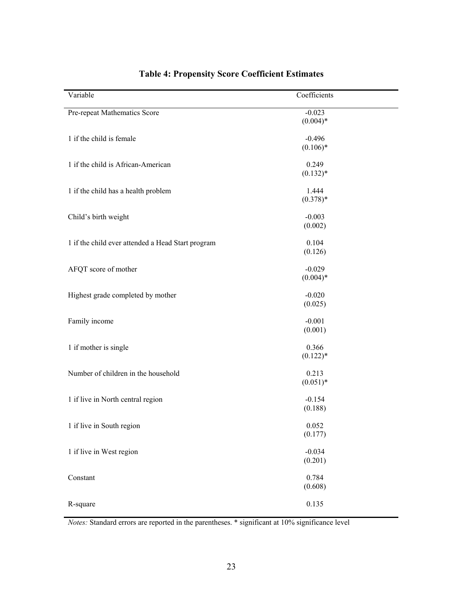| Variable                                          | Coefficients           |
|---------------------------------------------------|------------------------|
| Pre-repeat Mathematics Score                      | $-0.023$<br>$(0.004)*$ |
| 1 if the child is female                          | $-0.496$<br>$(0.106)*$ |
| 1 if the child is African-American                | 0.249<br>$(0.132)*$    |
| 1 if the child has a health problem               | 1.444<br>$(0.378)*$    |
| Child's birth weight                              | $-0.003$<br>(0.002)    |
| 1 if the child ever attended a Head Start program | 0.104<br>(0.126)       |
| AFQT score of mother                              | $-0.029$<br>$(0.004)*$ |
| Highest grade completed by mother                 | $-0.020$<br>(0.025)    |
| Family income                                     | $-0.001$<br>(0.001)    |
| 1 if mother is single                             | 0.366<br>$(0.122)*$    |
| Number of children in the household               | 0.213<br>$(0.051)*$    |
| 1 if live in North central region                 | $-0.154$<br>(0.188)    |
| 1 if live in South region                         | 0.052<br>(0.177)       |
| 1 if live in West region                          | $-0.034$<br>(0.201)    |
| Constant                                          | 0.784<br>(0.608)       |
| R-square                                          | 0.135                  |

# **Table 4: Propensity Score Coefficient Estimates**

*Notes:* Standard errors are reported in the parentheses. \* significant at 10% significance level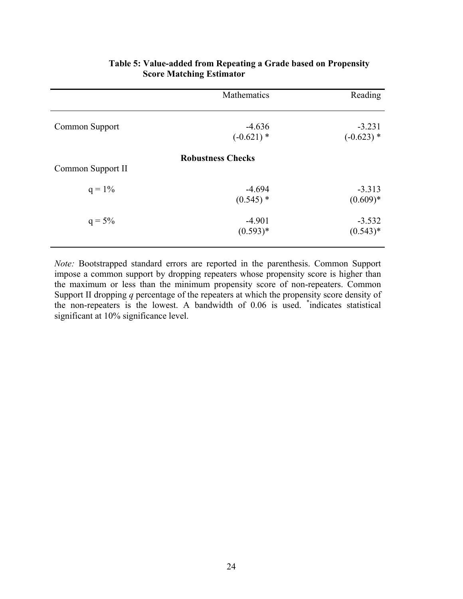|                   | Mathematics              | Reading                  |
|-------------------|--------------------------|--------------------------|
| Common Support    | $-4.636$<br>$(-0.621)$ * | $-3.231$<br>$(-0.623)$ * |
| Common Support II | <b>Robustness Checks</b> |                          |
| $q = 1\%$         | $-4.694$<br>$(0.545)$ *  | $-3.313$<br>$(0.609)*$   |
| $q = 5\%$         | $-4.901$<br>$(0.593)*$   | $-3.532$<br>$(0.543)*$   |

## **Table 5: Value-added from Repeating a Grade based on Propensity Score Matching Estimator**

*Note:* Bootstrapped standard errors are reported in the parenthesis. Common Support impose a common support by dropping repeaters whose propensity score is higher than the maximum or less than the minimum propensity score of non-repeaters. Common Support II dropping *q* percentage of the repeaters at which the propensity score density of the non-repeaters is the lowest. A bandwidth of 0.06 is used. \* indicates statistical significant at 10% significance level.